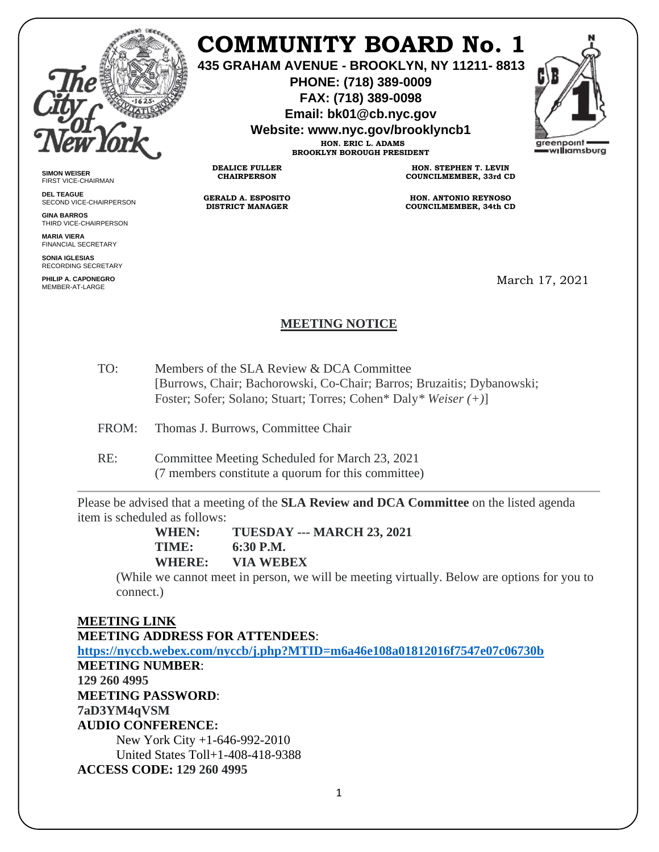

**SIMON WEISER** FIRST VICE-CHAIRMAN **DEL TEAGUE**

**GINA BARROS** THIRD VICE-CHAIRPERSON

**MARIA VIERA** FINANCIAL SECRETARY **SONIA IGLESIAS** RECORDING SECRETARY **PHILIP A. CAPONEGRO** MEMBER-AT-LARGE

SECOND VICE-CHAIRPERSON

# **COMMUNITY BOARD No. 1**

**435 GRAHAM AVENUE - BROOKLYN, NY 11211- 8813**

**PHONE: (718) 389-0009 FAX: (718) 389-0098**

**Email: bk01@cb.nyc.gov**

**Website: www.nyc.gov/brooklyncb1**

**HON. ERIC L. ADAMS BROOKLYN BOROUGH PRESIDENT** areenpoint williamsburg

**DEALICE FULLER CHAIRPERSON**

**GERALD A. ESPOSITO DISTRICT MANAGER**

**HON. STEPHEN T. LEVIN COUNCILMEMBER, 33rd CD**

**HON. ANTONIO REYNOSO COUNCILMEMBER, 34th CD**

March 17, 2021

# **MEETING NOTICE**

- TO: Members of the SLA Review & DCA Committee [Burrows, Chair; Bachorowski, Co-Chair; Barros; Bruzaitis; Dybanowski; Foster; Sofer; Solano; Stuart; Torres; Cohen\* Daly*\* Weiser (+)*]
- FROM: Thomas J. Burrows, Committee Chair
- RE: Committee Meeting Scheduled for March 23, 2021 (7 members constitute a quorum for this committee)

Please be advised that a meeting of the **SLA Review and DCA Committee** on the listed agenda item is scheduled as follows:

> **WHEN: TUESDAY --- MARCH 23, 2021 TIME: 6:30 P.M. WHERE: VIA WEBEX**

(While we cannot meet in person, we will be meeting virtually. Below are options for you to connect.)

## **MEETING LINK**

**MEETING ADDRESS FOR ATTENDEES**: **<https://nyccb.webex.com/nyccb/j.php?MTID=m6a46e108a01812016f7547e07c06730b> MEETING NUMBER**: **129 260 4995 MEETING PASSWORD**: **7aD3YM4qVSM AUDIO CONFERENCE:** New York City +1-646-992-2010 United States Toll+1-408-418-9388 **ACCESS CODE: 129 260 4995**